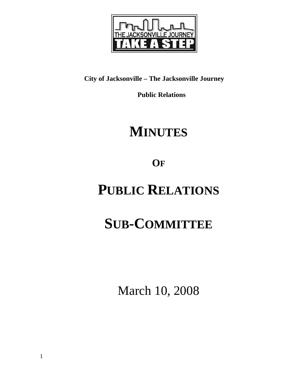

## **City of Jacksonville – The Jacksonville Journey**

 **Public Relations** 

# **MINUTES**

**OF**

# **PUBLIC RELATIONS**

# **SUB-COMMITTEE**

March 10, 2008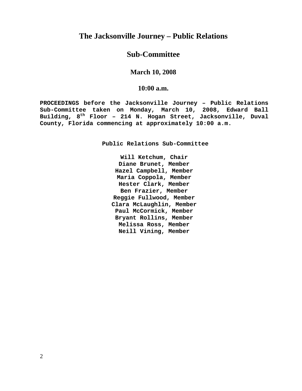## **The Jacksonville Journey – Public Relations**

## **Sub-Committee**

### **March 10, 2008**

#### **10:00 a.m.**

**PROCEEDINGS before the Jacksonville Journey – Public Relations Sub-Committee taken on Monday, March 10, 2008, Edward Ball Building, 8th Floor – 214 N. Hogan Street, Jacksonville, Duval County, Florida commencing at approximately 10:00 a.m.** 

**Public Relations Sub-Committee** 

**Will Ketchum, Chair Diane Brunet, Member Hazel Campbell, Member Maria Coppola, Member Hester Clark, Member Ben Frazier, Member Reggie Fullwood, Member Clara McLaughlin, Member Paul McCormick, Member Bryant Rollins, Member Melissa Ross, Member Neill Vining, Member**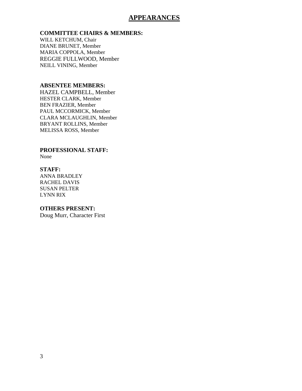### **APPEARANCES**

#### **COMMITTEE CHAIRS & MEMBERS:**

WILL KETCHUM, Chair DIANE BRUNET, Member MARIA COPPOLA, Member REGGIE FULLWOOD, Member NEILL VINING, Member

#### **ABSENTEE MEMBERS:**

HAZEL CAMPBELL, Member HESTER CLARK, Member BEN FRAZIER, Member PAUL MCCORMICK, Member CLARA MCLAUGHLIN, Member BRYANT ROLLINS, Member MELISSA ROSS, Member

### **PROFESSIONAL STAFF:**

None

#### **STAFF:**

ANNA BRADLEY RACHEL DAVIS SUSAN PELTER LYNN RIX

#### **OTHERS PRESENT:**

Doug Murr, Character First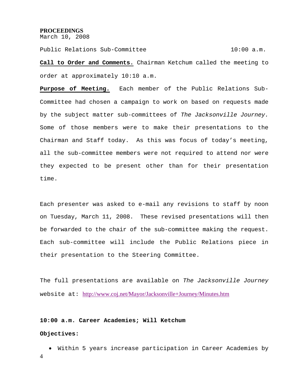#### **PROCEEDINGS**

March 10, 2008

Public Relations Sub-Committee 10:00 a.m.

**Call to Order and Comments.** Chairman Ketchum called the meeting to order at approximately 10:10 a.m.

**Purpose of Meeting.** Each member of the Public Relations Sub-Committee had chosen a campaign to work on based on requests made by the subject matter sub-committees of *The Jacksonville Journey.*  Some of those members were to make their presentations to the Chairman and Staff today. As this was focus of today's meeting, all the sub-committee members were not required to attend nor were they expected to be present other than for their presentation time.

Each presenter was asked to e-mail any revisions to staff by noon on Tuesday, March 11, 2008. These revised presentations will then be forwarded to the chair of the sub-committee making the request. Each sub-committee will include the Public Relations piece in their presentation to the Steering Committee.

The full presentations are available on *The Jacksonville Journey*  website at: http://www.coj.net/Mayor/Jacksonville+Journey/Minutes.htm

#### **10:00 a.m. Career Academies; Will Ketchum**

#### **Objectives:**

4 • Within 5 years increase participation in Career Academies by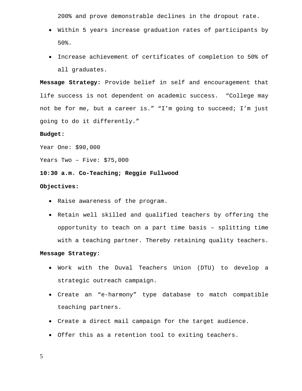200% and prove demonstrable declines in the dropout rate.

- Within 5 years increase graduation rates of participants by 50%.
- Increase achievement of certificates of completion to 50% of all graduates.

**Message Strategy:** Provide belief in self and encouragement that life success is not dependent on academic success. "College may not be for me, but a career is." "I'm going to succeed; I'm just going to do it differently."

#### **Budget:**

Year One: \$90,000

Years Two – Five: \$75,000

#### **10:30 a.m. Co-Teaching; Reggie Fullwood**

#### **Objectives:**

- Raise awareness of the program.
- Retain well skilled and qualified teachers by offering the opportunity to teach on a part time basis – splitting time with a teaching partner. Thereby retaining quality teachers.

#### **Message Strategy:**

- Work with the Duval Teachers Union (DTU) to develop a strategic outreach campaign.
- Create an "e-harmony" type database to match compatible teaching partners.
- Create a direct mail campaign for the target audience.
- Offer this as a retention tool to exiting teachers.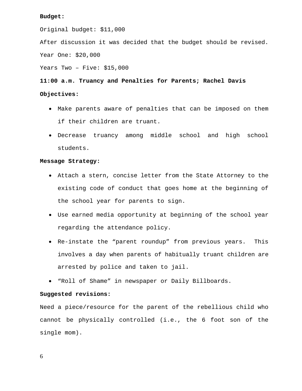#### **Budget:**

Original budget: \$11,000

After discussion it was decided that the budget should be revised.

Year One: \$20,000

Years Two – Five: \$15,000

#### **11:00 a.m. Truancy and Penalties for Parents; Rachel Davis**

#### **Objectives:**

- Make parents aware of penalties that can be imposed on them if their children are truant.
- Decrease truancy among middle school and high school students.

#### **Message Strategy:**

- Attach a stern, concise letter from the State Attorney to the existing code of conduct that goes home at the beginning of the school year for parents to sign.
- Use earned media opportunity at beginning of the school year regarding the attendance policy.
- Re-instate the "parent roundup" from previous years. This involves a day when parents of habitually truant children are arrested by police and taken to jail.
- "Roll of Shame" in newspaper or Daily Billboards.

#### **Suggested revisions:**

Need a piece/resource for the parent of the rebellious child who cannot be physically controlled (i.e., the 6 foot son of the single mom).

6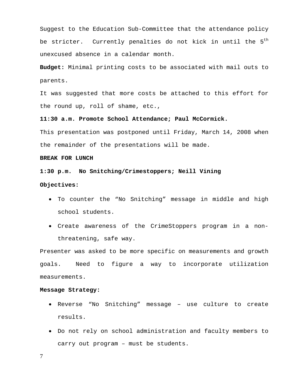Suggest to the Education Sub-Committee that the attendance policy be stricter. Currently penalties do not kick in until the 5<sup>th</sup> unexcused absence in a calendar month.

**Budget:** Minimal printing costs to be associated with mail outs to parents.

It was suggested that more costs be attached to this effort for the round up, roll of shame, etc.,

**11:30 a.m. Promote School Attendance; Paul McCormick.**

This presentation was postponed until Friday, March 14, 2008 when the remainder of the presentations will be made.

#### **BREAK FOR LUNCH**

#### **1:30 p.m. No Snitching/Crimestoppers; Neill Vining**

#### **Objectives:**

- To counter the "No Snitching" message in middle and high school students.
- Create awareness of the CrimeStoppers program in a nonthreatening, safe way.

Presenter was asked to be more specific on measurements and growth goals. Need to figure a way to incorporate utilization measurements.

#### **Message Strategy:**

- Reverse "No Snitching" message use culture to create results.
- Do not rely on school administration and faculty members to carry out program – must be students.

7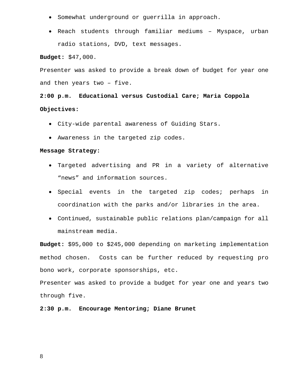- Somewhat underground or guerrilla in approach.
- Reach students through familiar mediums Myspace, urban radio stations, DVD, text messages.

**Budget:** \$47,000.

Presenter was asked to provide a break down of budget for year one and then years two – five.

## **2:00 p.m. Educational versus Custodial Care; Maria Coppola Objectives:**

- City-wide parental awareness of Guiding Stars.
- Awareness in the targeted zip codes.

#### **Message Strategy:**

- Targeted advertising and PR in a variety of alternative "news" and information sources.
- Special events in the targeted zip codes; perhaps in coordination with the parks and/or libraries in the area.
- Continued, sustainable public relations plan/campaign for all mainstream media.

**Budget:** \$95,000 to \$245,000 depending on marketing implementation method chosen. Costs can be further reduced by requesting pro bono work, corporate sponsorships, etc.

Presenter was asked to provide a budget for year one and years two through five.

**2:30 p.m. Encourage Mentoring; Diane Brunet**